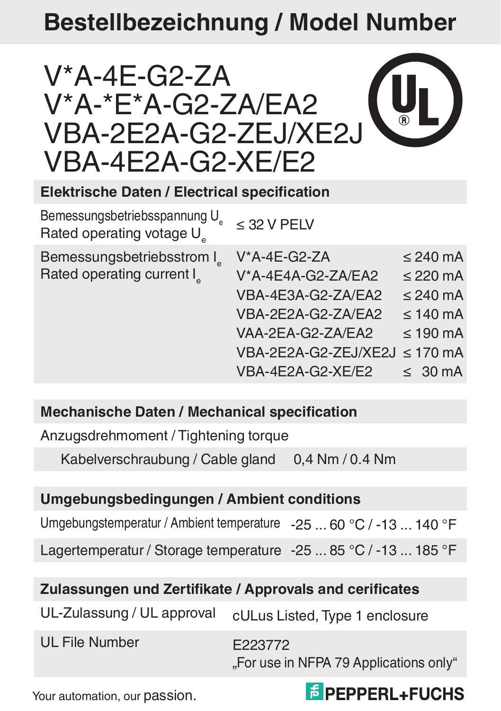# **Bestellbezeichnung / Model Number**



**Elektrische Daten / Electrical specification**

| Bemessungsbetriebsspannung U<br>Rated operating votage U | $<$ 32 V PELV                 |                      |
|----------------------------------------------------------|-------------------------------|----------------------|
| Bemessungsbetriebsstrom I                                | V*A-4E-G2-ZA                  | $\leq$ 240 mA        |
| Rated operating current I                                | V*A-4E4A-G2-ZA/EA2            | $\leq$ 220 mA        |
|                                                          | VBA-4E3A-G2-ZA/EA2            | $\leq$ 240 mA        |
|                                                          | VBA-2E2A-G2-ZA/EA2            | $\leq 140$ mA        |
|                                                          | VAA-2EA-G2-ZA/EA2             | $\leq 190$ mA        |
|                                                          | VBA-2E2A-G2-ZEJ/XE2J ≤ 170 mA |                      |
|                                                          | VBA-4E2A-G2-XE/E2             | $\leq 30 \text{ mA}$ |

#### **Mechanische Daten / Mechanical specification**

Anzugsdrehmoment / Tightening torque

Kabelverschraubung / Cable gland 0,4 Nm / 0,4 Nm

#### **Umgebungsbedingungen / Ambient conditions**

Umgebungstemperatur / Ambient temperature -25 ... 60 °C / -13 ... 140 °F

Lagertemperatur / Storage temperature -25 ... 85 °C / -13 ... 185 °F

#### **Zulassungen und Zertifikate / Approvals and cerificates**

UL-Zulassung / UL approval cULus Listed. Type 1 enclosure

UL File Number F223772

"For use in NFPA 79 Applications only"

Your automation, our passion.

## **E** PEPPERL+FUCHS